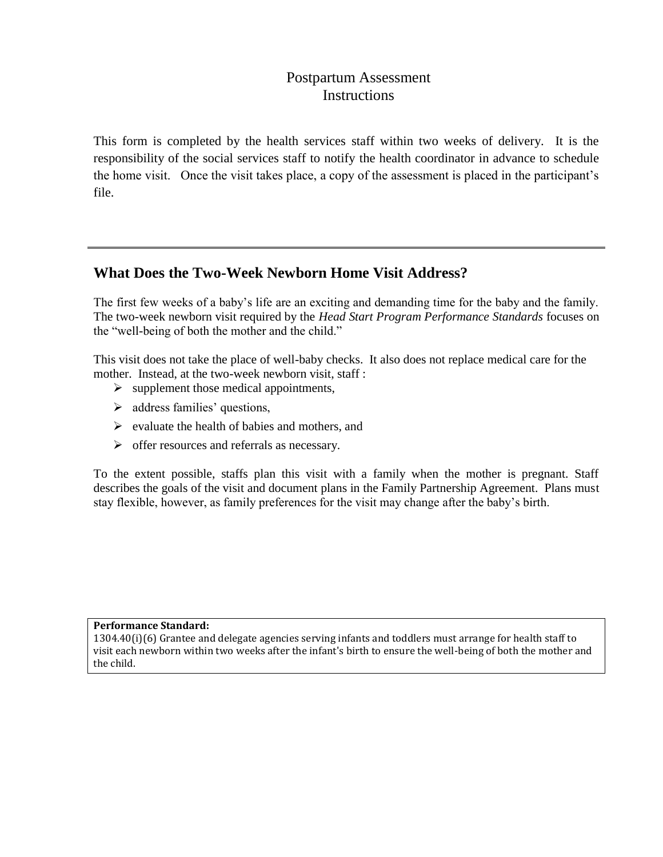## Postpartum Assessment **Instructions**

This form is completed by the health services staff within two weeks of delivery. It is the responsibility of the social services staff to notify the health coordinator in advance to schedule the home visit. Once the visit takes place, a copy of the assessment is placed in the participant's file.

## **What Does the Two-Week Newborn Home Visit Address?**

The first few weeks of a baby's life are an exciting and demanding time for the baby and the family. The two-week newborn visit required by the *Head Start Program Performance Standards* focuses on the "well-being of both the mother and the child."

This visit does not take the place of well-baby checks. It also does not replace medical care for the mother. Instead, at the two-week newborn visit, staff :

- $\triangleright$  supplement those medical appointments,
- $\triangleright$  address families' questions,
- $\triangleright$  evaluate the health of babies and mothers, and
- $\triangleright$  offer resources and referrals as necessary.

To the extent possible, staffs plan this visit with a family when the mother is pregnant. Staff describes the goals of the visit and document plans in the Family Partnership Agreement. Plans must stay flexible, however, as family preferences for the visit may change after the baby's birth.

## **Performance Standard:**

1304.40(i)(6) Grantee and delegate agencies serving infants and toddlers must arrange for health staff to visit each newborn within two weeks after the infant's birth to ensure the well-being of both the mother and the child.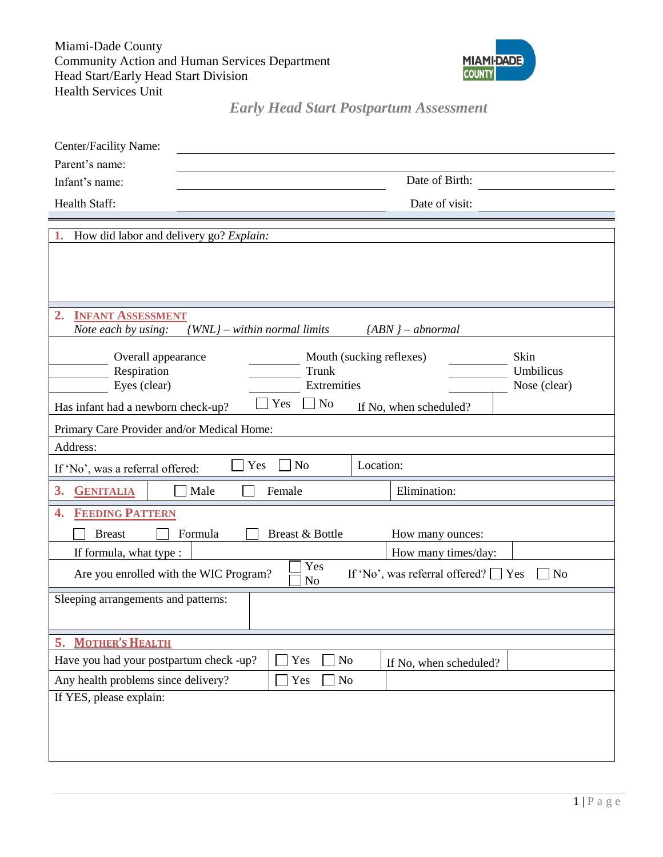Miami-Dade County Community Action and Human Services Department Head Start/Early Head Start Division Health Services Unit



*Early Head Start Postpartum Assessment*

| Center/Facility Name:                                                                                             |                        |  |  |  |
|-------------------------------------------------------------------------------------------------------------------|------------------------|--|--|--|
| Parent's name:                                                                                                    |                        |  |  |  |
| Infant's name:                                                                                                    | Date of Birth:         |  |  |  |
| Health Staff:                                                                                                     | Date of visit:         |  |  |  |
|                                                                                                                   |                        |  |  |  |
| 1.<br>How did labor and delivery go? Explain:                                                                     |                        |  |  |  |
|                                                                                                                   |                        |  |  |  |
|                                                                                                                   |                        |  |  |  |
|                                                                                                                   |                        |  |  |  |
| 2.<br><b>INFANT ASSESSMENT</b><br>Note each by using:<br>$\{WNL\}$ – within normal limits<br>$\{ABN\}$ – abnormal |                        |  |  |  |
|                                                                                                                   |                        |  |  |  |
| Mouth (sucking reflexes)<br>Skin<br>Overall appearance                                                            |                        |  |  |  |
| Umbilicus<br>Respiration<br>Trunk<br>Eyes (clear)<br>Extremities<br>Nose (clear)                                  |                        |  |  |  |
| Yes<br>$\Box$ No<br>Has infant had a newborn check-up?<br>If No, when scheduled?                                  |                        |  |  |  |
| Primary Care Provider and/or Medical Home:                                                                        |                        |  |  |  |
| Address:                                                                                                          |                        |  |  |  |
| Yes<br>N <sub>o</sub><br>Location:<br>If 'No', was a referral offered:                                            |                        |  |  |  |
| Male<br>Female<br>3.<br><b>GENITALIA</b>                                                                          | Elimination:           |  |  |  |
| <b>FEEDING PATTERN</b><br>4.                                                                                      |                        |  |  |  |
| Breast & Bottle<br><b>Breast</b><br>Formula<br>How many ounces:                                                   |                        |  |  |  |
| If formula, what type :                                                                                           | How many times/day:    |  |  |  |
| Yes<br>If 'No', was referral offered? $\Box$ Yes<br>Are you enrolled with the WIC Program?<br>No<br>No            |                        |  |  |  |
| Sleeping arrangements and patterns:                                                                               |                        |  |  |  |
| <b>MOTHER'S HEALTH</b><br>5.                                                                                      |                        |  |  |  |
| $\rm No$<br>Have you had your postpartum check -up?<br>Yes                                                        | If No, when scheduled? |  |  |  |
| Any health problems since delivery?<br>Yes<br>No                                                                  |                        |  |  |  |
| If YES, please explain:                                                                                           |                        |  |  |  |
|                                                                                                                   |                        |  |  |  |
|                                                                                                                   |                        |  |  |  |
|                                                                                                                   |                        |  |  |  |